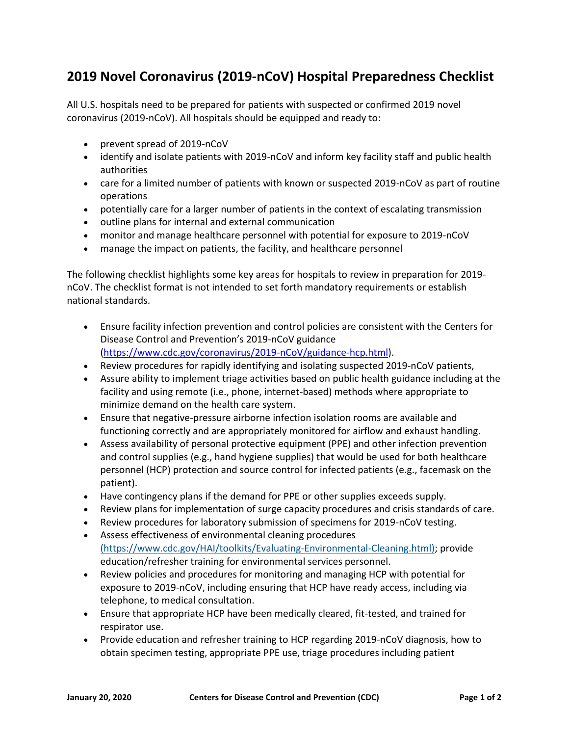## **2019 Novel Coronavirus (2019-nCoV) Hospital Preparedness Checklist**

All U.S. hospitals need to be prepared for patients with suspected or confirmed 2019 novel coronavirus (2019-nCoV). All hospitals should be equipped and ready to:

- prevent spread of 2019-nCoV
- identify and isolate patients with 2019-nCoV and inform key facility staff and public health authorities
- care for a limited number of patients with known or suspected 2019-nCoV as part of routine operations
- potentially care for a larger number of patients in the context of escalating transmission
- outline plans for internal and external communication
- monitor and manage healthcare personnel with potential for exposure to 2019-nCoV
- manage the impact on patients, the facility, and healthcare personnel

The following checklist highlights some key areas for hospitals to review in preparation for 2019 nCoV. The checklist format is not intended to set forth mandatory requirements or establish national standards.

- Ensure facility infection prevention and control policies are consistent with the Centers for Disease Control and Prevention's 2019-nCoV guidance [\(https://www.cdc.gov/coronavirus/2019-nCoV/guidance-hcp.html\)](https://www.cdc.gov/coronavirus/2019-nCoV/guidance-hcp.html).
- Review procedures for rapidly identifying and isolating suspected 2019-nCoV patients,
- Assure ability to implement triage activities based on public health guidance including at the facility and using remote (i.e., phone, internet-based) methods where appropriate to minimize demand on the health care system.
- Ensure that negative-pressure airborne infection isolation rooms are available and functioning correctly and are appropriately monitored for airflow and exhaust handling.
- Assess availability of personal protective equipment (PPE) and other infection prevention and control supplies (e.g., hand hygiene supplies) that would be used for both healthcare personnel (HCP) protection and source control for infected patients (e.g., facemask on the patient).
- Have contingency plans if the demand for PPE or other supplies exceeds supply.
- Review plans for implementation of surge capacity procedures and crisis standards of care.
- Review procedures for laboratory submission of specimens for 2019-nCoV testing.
- Assess effectiveness of environmental cleaning procedures (https://www.cdc.gov/HAI/toolkits/Evaluating-Environmental-Cleaning.html); provide education/refresher training for environmental services personnel.
- Review policies and procedures for monitoring and managing HCP with potential for exposure to 2019-nCoV, including ensuring that HCP have ready access, including via telephone, to medical consultation.
- Ensure that appropriate HCP have been medically cleared, fit-tested, and trained for respirator use.
- Provide education and refresher training to HCP regarding 2019-nCoV diagnosis, how to obtain specimen testing, appropriate PPE use, triage procedures including patient